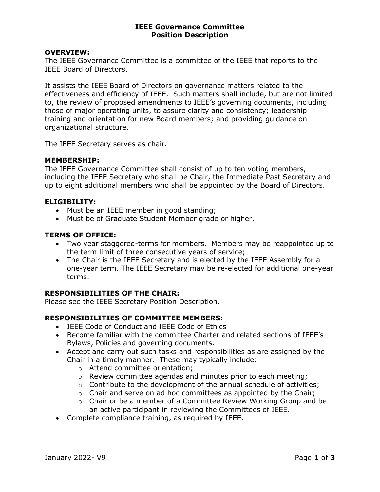#### IEEE Governance Committee Position Description

#### OVERVIEW:

The IEEE Governance Committee is a committee of the IEEE that reports to the IEEE Board of Directors.

It assists the IEEE Board of Directors on governance matters related to the effectiveness and efficiency of IEEE. Such matters shall include, but are not limited to, the review of proposed amendments to IEEE's governing documents, including those of major operating units, to assure clarity and consistency; leadership training and orientation for new Board members; and providing guidance on organizational structure.

The IEEE Secretary serves as chair.

#### MEMBERSHIP:

The IEEE Governance Committee shall consist of up to ten voting members, including the IEEE Secretary who shall be Chair, the Immediate Past Secretary and up to eight additional members who shall be appointed by the Board of Directors.

#### ELIGIBILITY:

- Must be an IEEE member in good standing;
- Must be of Graduate Student Member grade or higher.

#### TERMS OF OFFICE:

- Two year staggered-terms for members. Members may be reappointed up to the term limit of three consecutive years of service;
- The Chair is the IEEE Secretary and is elected by the IEEE Assembly for a one-year term. The IEEE Secretary may be re-elected for additional one-year terms.

#### RESPONSIBILITIES OF THE CHAIR:

Please see the IEEE Secretary Position Description.

## RESPONSIBILITIES OF COMMITTEE MEMBERS:

- IEEE Code of Conduct and IEEE Code of Ethics
- Become familiar with the committee Charter and related sections of IEEE's Bylaws, Policies and governing documents.
- Accept and carry out such tasks and responsibilities as are assigned by the Chair in a timely manner. These may typically include:
	- o Attend committee orientation;
	- o Review committee agendas and minutes prior to each meeting;
	- $\circ$  Contribute to the development of the annual schedule of activities;
	- $\circ$  Chair and serve on ad hoc committees as appointed by the Chair;
	- $\circ$  Chair or be a member of a Committee Review Working Group and be an active participant in reviewing the Committees of IEEE.
- Complete compliance training, as required by IEEE.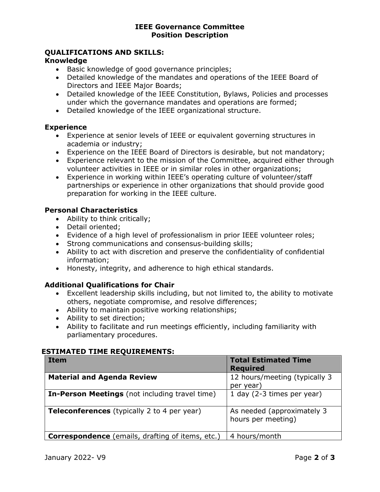#### IEEE Governance Committee Position Description

# QUALIFICATIONS AND SKILLS:

### Knowledge

- Basic knowledge of good governance principles;
- Detailed knowledge of the mandates and operations of the IEEE Board of Directors and IEEE Major Boards;
- Detailed knowledge of the IEEE Constitution, Bylaws, Policies and processes under which the governance mandates and operations are formed;
- Detailed knowledge of the IEEE organizational structure.

### **Experience**

- Experience at senior levels of IEEE or equivalent governing structures in academia or industry;
- Experience on the IEEE Board of Directors is desirable, but not mandatory;
- Experience relevant to the mission of the Committee, acquired either through volunteer activities in IEEE or in similar roles in other organizations;
- Experience in working within IEEE's operating culture of volunteer/staff partnerships or experience in other organizations that should provide good preparation for working in the IEEE culture.

## Personal Characteristics

- Ability to think critically;
- Detail oriented;
- Evidence of a high level of professionalism in prior IEEE volunteer roles;
- Strong communications and consensus-building skills;
- Ability to act with discretion and preserve the confidentiality of confidential information;
- Honesty, integrity, and adherence to high ethical standards.

## Additional Qualifications for Chair

- Excellent leadership skills including, but not limited to, the ability to motivate others, negotiate compromise, and resolve differences;
- Ability to maintain positive working relationships;
- Ability to set direction;
- Ability to facilitate and run meetings efficiently, including familiarity with parliamentary procedures.

## ESTIMATED TIME REQUIREMENTS:

| <b>Item</b>                                             | <b>Total Estimated Time</b>                      |
|---------------------------------------------------------|--------------------------------------------------|
|                                                         | <b>Required</b>                                  |
| <b>Material and Agenda Review</b>                       | 12 hours/meeting (typically 3<br>per year)       |
| <b>In-Person Meetings</b> (not including travel time)   | 1 day (2-3 times per year)                       |
| Teleconferences (typically 2 to 4 per year)             | As needed (approximately 3<br>hours per meeting) |
| <b>Correspondence</b> (emails, drafting of items, etc.) | 4 hours/month                                    |